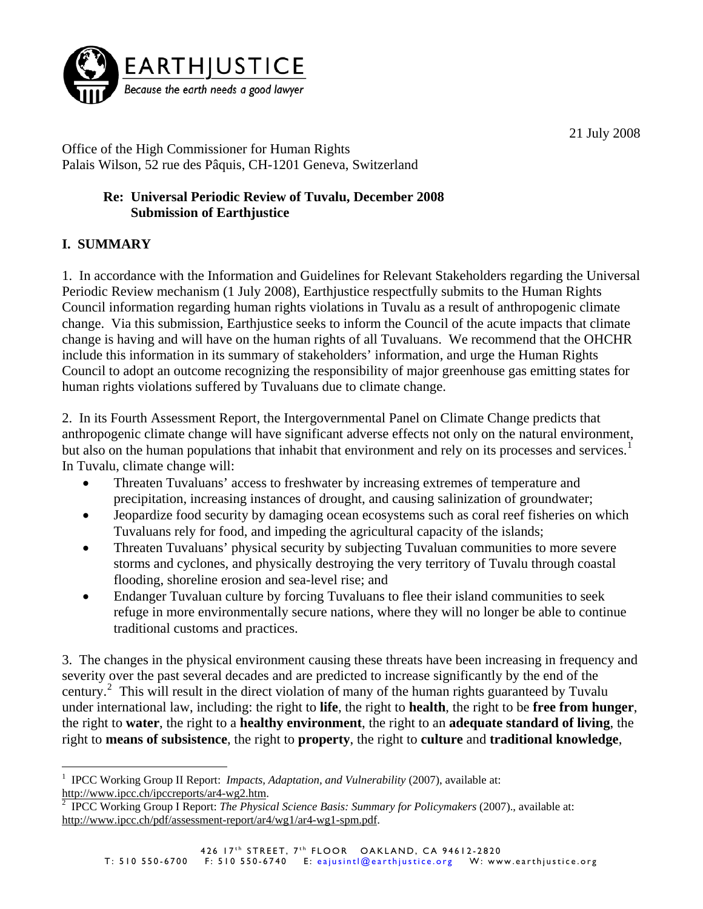

21 July 2008

Office of the High Commissioner for Human Rights Palais Wilson, 52 rue des Pâquis, CH-1201 Geneva, Switzerland

## **Re: Universal Periodic Review of Tuvalu, December 2008 Submission of Earthjustice**

## **I. SUMMARY**

 $\overline{a}$ 

1. In accordance with the Information and Guidelines for Relevant Stakeholders regarding the Universal Periodic Review mechanism (1 July 2008), Earthjustice respectfully submits to the Human Rights Council information regarding human rights violations in Tuvalu as a result of anthropogenic climate change. Via this submission, Earthjustice seeks to inform the Council of the acute impacts that climate change is having and will have on the human rights of all Tuvaluans. We recommend that the OHCHR include this information in its summary of stakeholders' information, and urge the Human Rights Council to adopt an outcome recognizing the responsibility of major greenhouse gas emitting states for human rights violations suffered by Tuvaluans due to climate change.

2. In its Fourth Assessment Report, the Intergovernmental Panel on Climate Change predicts that anthropogenic climate change will have significant adverse effects not only on the natural environment, but also on the human populations that inhabit that environment and rely on its processes and services.<sup>[1](#page-0-0)</sup> In Tuvalu, climate change will:

- Threaten Tuvaluans' access to freshwater by increasing extremes of temperature and precipitation, increasing instances of drought, and causing salinization of groundwater;
- Jeopardize food security by damaging ocean ecosystems such as coral reef fisheries on which Tuvaluans rely for food, and impeding the agricultural capacity of the islands;
- Threaten Tuvaluans' physical security by subjecting Tuvaluan communities to more severe storms and cyclones, and physically destroying the very territory of Tuvalu through coastal flooding, shoreline erosion and sea-level rise; and
- Endanger Tuvaluan culture by forcing Tuvaluans to flee their island communities to seek refuge in more environmentally secure nations, where they will no longer be able to continue traditional customs and practices.

3. The changes in the physical environment causing these threats have been increasing in frequency and severity over the past several decades and are predicted to increase significantly by the end of the century.<sup>[2](#page-0-1)</sup> This will result in the direct violation of many of the human rights guaranteed by Tuvalu under international law, including: the right to **life**, the right to **health**, the right to be **free from hunger**, the right to **water**, the right to a **healthy environment**, the right to an **adequate standard of living**, the right to **means of subsistence**, the right to **property**, the right to **culture** and **traditional knowledge**,

<span id="page-0-0"></span><sup>&</sup>lt;sup>1</sup> IPCC Working Group II Report: *Impacts, Adaptation, and Vulnerability* (2007), available at: [http://www.ipcc.ch/ipccreports/ar4-wg2.htm.](http://www.ipcc.ch/ipccreports/ar4-wg2.htm) [2](http://www.ipcc.ch/ipccreports/ar4-wg2.htm)

<span id="page-0-1"></span>IPCC Working Group I Report: *The Physical Science Basis: Summary for Policymakers* (2007)., available at: [http://www.ipcc.ch/pdf/assessment-report/ar4/wg1/ar4-wg1-spm.pdf.](http://www.ipcc.ch/pdf/assessment-report/ar4/wg1/ar4-wg1-spm.pdf)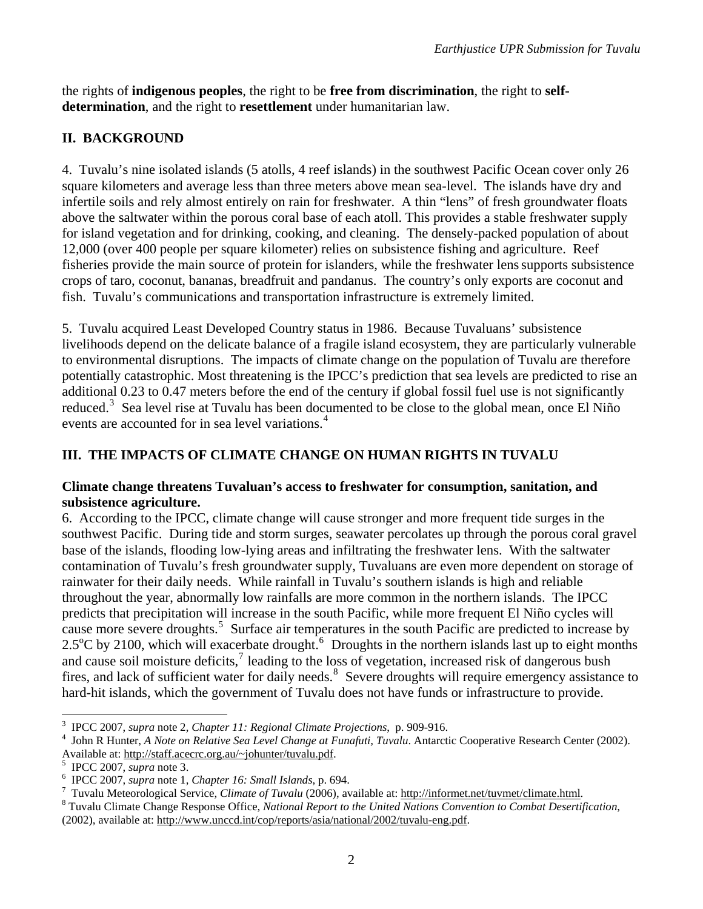the rights of **indigenous peoples**, the right to be **free from discrimination**, the right to **selfdetermination**, and the right to **resettlement** under humanitarian law.

## **II. BACKGROUND**

4. Tuvalu's nine isolated islands (5 atolls, 4 reef islands) in the southwest Pacific Ocean cover only 26 square kilometers and average less than three meters above mean sea-level. The islands have dry and infertile soils and rely almost entirely on rain for freshwater. A thin "lens" of fresh groundwater floats above the saltwater within the porous coral base of each atoll. This provides a stable freshwater supply for island vegetation and for drinking, cooking, and cleaning. The densely-packed population of about 12,000 (over 400 people per square kilometer) relies on subsistence fishing and agriculture. Reef fisheries provide the main source of protein for islanders, while the freshwater lenssupports subsistence crops of taro, coconut, bananas, breadfruit and pandanus. The country's only exports are coconut and fish. Tuvalu's communications and transportation infrastructure is extremely limited.

5. Tuvalu acquired Least Developed Country status in 1986. Because Tuvaluans' subsistence livelihoods depend on the delicate balance of a fragile island ecosystem, they are particularly vulnerable to environmental disruptions. The impacts of climate change on the population of Tuvalu are therefore potentially catastrophic. Most threatening is the IPCC's prediction that sea levels are predicted to rise an additional 0.23 to 0.47 meters before the end of the century if global fossil fuel use is not significantly reduced.<sup>[3](#page-1-0)</sup> Sea level rise at Tuvalu has been documented to be close to the global mean, once El Niño events are accounted for in sea level variations.<sup>[4](#page-1-1)</sup>

# **III. THE IMPACTS OF CLIMATE CHANGE ON HUMAN RIGHTS IN TUVALU**

#### **Climate change threatens Tuvaluan's access to freshwater for consumption, sanitation, and subsistence agriculture.**

6. According to the IPCC, climate change will cause stronger and more frequent tide surges in the southwest Pacific. During tide and storm surges, seawater percolates up through the porous coral gravel base of the islands, flooding low-lying areas and infiltrating the freshwater lens. With the saltwater contamination of Tuvalu's fresh groundwater supply, Tuvaluans are even more dependent on storage of rainwater for their daily needs. While rainfall in Tuvalu's southern islands is high and reliable throughout the year, abnormally low rainfalls are more common in the northern islands. The IPCC predicts that precipitation will increase in the south Pacific, while more frequent El Niño cycles will cause more severe droughts.<sup>[5](#page-1-2)</sup> Surface air temperatures in the south Pacific are predicted to increase by 2.5 $\rm{^{\circ}C}$  by 2100, which will exacerbate drought.<sup>[6](#page-1-3)</sup> Droughts in the northern islands last up to eight months and cause soil moisture deficits, $\frac{7}{1}$  $\frac{7}{1}$  $\frac{7}{1}$  leading to the loss of vegetation, increased risk of dangerous bush fires, and lack of sufficient water for daily needs.<sup>[8](#page-1-5)</sup> Severe droughts will require emergency assistance to hard-hit islands, which the government of Tuvalu does not have funds or infrastructure to provide.

 $\overline{a}$ 

<sup>3</sup> IPCC 2007, *supra* note 2, *Chapter 11: Regional Climate Projections*, p. 909-916. 4

<span id="page-1-1"></span><span id="page-1-0"></span>John R Hunter, *A Note on Relative Sea Level Change at Funafuti, Tuvalu*. Antarctic Cooperative Research Center (2002). Available at: [http://staff.acecrc.org.au/~johunter/tuvalu.pdf.](http://staff.acecrc.org.au/%7Ejohunter/tuvalu.pdf) 5

IPCC 2007, *supra* note 3. 6

<span id="page-1-3"></span><span id="page-1-2"></span>IPCC 2007, *supra* note 1, *Chapter 16: Small Islands*, p. 694. 7

<span id="page-1-4"></span><sup>&</sup>lt;sup>7</sup> Tuvalu Meteorological Service, *Climate of Tuvalu* (2006), available at: [http://informet.net/tuvmet/climate.html.](http://informet.net/tuvmet/climate.html)

<span id="page-1-5"></span>Tuvalu Climate Change Response Office, *National Report to the United Nations Convention to Combat Desertification*, (2002), available at: [http://www.unccd.int/cop/reports/asia/national/2002/tuvalu-eng.pdf.](http://www.unccd.int/cop/reports/asia/national/2002/tuvalu-eng.pdf)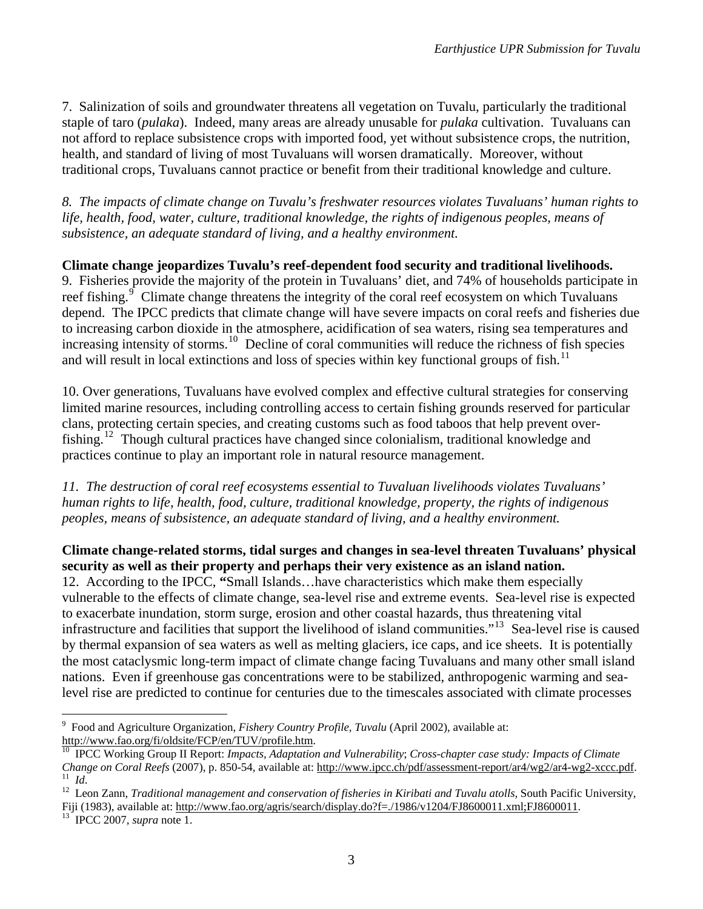7. Salinization of soils and groundwater threatens all vegetation on Tuvalu, particularly the traditional staple of taro (*pulaka*). Indeed, many areas are already unusable for *pulaka* cultivation. Tuvaluans can not afford to replace subsistence crops with imported food, yet without subsistence crops, the nutrition, health, and standard of living of most Tuvaluans will worsen dramatically. Moreover, without traditional crops, Tuvaluans cannot practice or benefit from their traditional knowledge and culture.

*8. The impacts of climate change on Tuvalu's freshwater resources violates Tuvaluans' human rights to life, health, food, water, culture, traditional knowledge, the rights of indigenous peoples, means of subsistence, an adequate standard of living, and a healthy environment.*

**Climate change jeopardizes Tuvalu's reef-dependent food security and traditional livelihoods.**  9. Fisheries provide the majority of the protein in Tuvaluans' diet, and 74% of households participate in reef fishing.<sup>[9](#page-2-0)</sup> Climate change threatens the integrity of the coral reef ecosystem on which Tuvaluans depend. The IPCC predicts that climate change will have severe impacts on coral reefs and fisheries due to increasing carbon dioxide in the atmosphere, acidification of sea waters, rising sea temperatures and increasing intensity of storms.<sup>[10](#page-2-1)</sup> Decline of coral communities will reduce the richness of fish species and will result in local extinctions and loss of species within key functional groups of fish.<sup>11</sup>

10. Over generations, Tuvaluans have evolved complex and effective cultural strategies for conserving limited marine resources, including controlling access to certain fishing grounds reserved for particular clans, protecting certain species, and creating customs such as food taboos that help prevent over-fishing.<sup>[12](#page-2-3)</sup> Though cultural practices have changed since colonialism, traditional knowledge and practices continue to play an important role in natural resource management.

*11. The destruction of coral reef ecosystems essential to Tuvaluan livelihoods violates Tuvaluans' human rights to life, health, food, culture, traditional knowledge, property, the rights of indigenous peoples, means of subsistence, an adequate standard of living, and a healthy environment.* 

**Climate change-related storms, tidal surges and changes in sea-level threaten Tuvaluans' physical security as well as their property and perhaps their very existence as an island nation.**  12. According to the IPCC, **"**Small Islands…have characteristics which make them especially vulnerable to the effects of climate change, sea-level rise and extreme events. Sea-level rise is expected to exacerbate inundation, storm surge, erosion and other coastal hazards, thus threatening vital infrastructure and facilities that support the livelihood of island communities."[13](#page-2-4) Sea-level rise is caused by thermal expansion of sea waters as well as melting glaciers, ice caps, and ice sheets. It is potentially the most cataclysmic long-term impact of climate change facing Tuvaluans and many other small island nations. Even if greenhouse gas concentrations were to be stabilized, anthropogenic warming and sealevel rise are predicted to continue for centuries due to the timescales associated with climate processes

 $\overline{a}$ 

<span id="page-2-0"></span><sup>9</sup> <sup>9</sup> Food and Agriculture Organization, *Fishery Country Profile, Tuvalu* (April 2002), available at:<br>http://www.fao.org/fi/oldsite/FCP/en/TUV/profile.htm.

<span id="page-2-1"></span>[http://www.fao.org/fi/oldsite/FCP/en/TUV/profile.htm.](http://www.fao.org/fi/oldsite/FCP/en/TUV/profile.htm) [10](http://www.fao.org/fi/oldsite/FCP/en/TUV/profile.htm) IPCC Working Group II Report: *Impacts, Adaptation and Vulnerability*; *Cross-chapter case study: Impacts of Climate*  Change on Coral Reefs (2007), p. 850-54, available at:<http://www.ipcc.ch/pdf/assessment-report/ar4/wg2/ar4-wg2-xccc.pdf>.<br><sup>11</sup> Id.<br><sup>12</sup> Leon Zann, *Traditional management and conservation of fisheries in Kiribati and Tuval* 

<span id="page-2-3"></span><span id="page-2-2"></span>Fiji (1983), available at:<http://www.fao.org/agris/search/display.do?f=./1986/v1204/FJ8600011.xml;FJ8600011>. 13 IPCC 2007, *supra* note 1.

<span id="page-2-4"></span>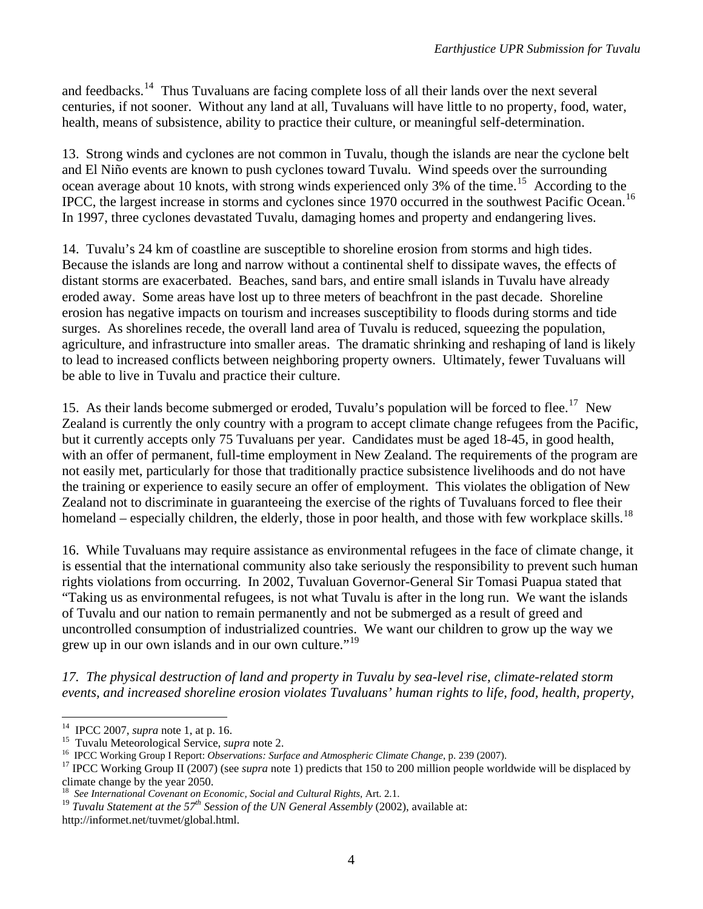and feedbacks.<sup>[14](#page-3-0)</sup> Thus Tuvaluans are facing complete loss of all their lands over the next several centuries, if not sooner. Without any land at all, Tuvaluans will have little to no property, food, water, health, means of subsistence, ability to practice their culture, or meaningful self-determination.

13. Strong winds and cyclones are not common in Tuvalu, though the islands are near the cyclone belt and El Niño events are known to push cyclones toward Tuvalu. Wind speeds over the surrounding ocean average about 10 knots, with strong winds experienced only 3% of the time.<sup>[15](#page-3-1)</sup> According to the IPCC, the largest increase in storms and cyclones since 1970 occurred in the southwest Pacific Ocean.<sup>[16](#page-3-2)</sup> In 1997, three cyclones devastated Tuvalu, damaging homes and property and endangering lives.

14. Tuvalu's 24 km of coastline are susceptible to shoreline erosion from storms and high tides. Because the islands are long and narrow without a continental shelf to dissipate waves, the effects of distant storms are exacerbated.Beaches, sand bars, and entire small islands in Tuvalu have already eroded away. Some areas have lost up to three meters of beachfront in the past decade. Shoreline erosion has negative impacts on tourism and increases susceptibility to floods during storms and tide surges. As shorelines recede, the overall land area of Tuvalu is reduced, squeezing the population, agriculture, and infrastructure into smaller areas. The dramatic shrinking and reshaping of land is likely to lead to increased conflicts between neighboring property owners. Ultimately, fewer Tuvaluans will be able to live in Tuvalu and practice their culture.

15. As their lands become submerged or eroded, Tuvalu's population will be forced to flee.<sup>[17](#page-3-3)</sup> New Zealand is currently the only country with a program to accept climate change refugees from the Pacific, but it currently accepts only 75 Tuvaluans per year. Candidates must be aged 18-45, in good health, with an offer of permanent, full-time employment in New Zealand. The requirements of the program are not easily met, particularly for those that traditionally practice subsistence livelihoods and do not have the training or experience to easily secure an offer of employment. This violates the obligation of New Zealand not to discriminate in guaranteeing the exercise of the rights of Tuvaluans forced to flee their homeland – especially children, the elderly, those in poor health, and those with few workplace skills.<sup>[18](#page-3-4)</sup>

16. While Tuvaluans may require assistance as environmental refugees in the face of climate change, it is essential that the international community also take seriously the responsibility to prevent such human rights violations from occurring. In 2002, Tuvaluan Governor-General Sir Tomasi Puapua stated that "Taking us as environmental refugees, is not what Tuvalu is after in the long run. We want the islands of Tuvalu and our nation to remain permanently and not be submerged as a result of greed and uncontrolled consumption of industrialized countries. We want our children to grow up the way we grew up in our own islands and in our own culture."[19](#page-3-5)

*17. The physical destruction of land and property in Tuvalu by sea-level rise, climate-related storm events, and increased shoreline erosion violates Tuvaluans' human rights to life, food, health, property,* 

 $\overline{a}$ 

<span id="page-3-1"></span>

<span id="page-3-3"></span><span id="page-3-2"></span>

<span id="page-3-0"></span><sup>&</sup>lt;sup>14</sup> IPCC 2007, *supra* note 1, at p. 16.<br><sup>15</sup> Tuvalu Meteorological Service, *supra* note 2.<br><sup>16</sup> IPCC Working Group I Report: *Observations: Surface and Atmospheric Climate Change*, p. 239 (2007).<br><sup>17</sup> IPCC Working Grou climate change by the year 2050.

<sup>18</sup> *See International Covenant on Economic, Social and Cultural Rights*, Art. 2.1.

<span id="page-3-5"></span><span id="page-3-4"></span><sup>&</sup>lt;sup>19</sup> *Tuvalu Statement at the 57<sup>th</sup> Session of the UN General Assembly* (2002), available at: http://informet.net/tuvmet/global.html.